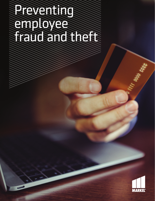# Preventing employee fraud and the first



ITT MAND EXERCIT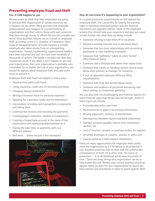# **Preventing employee fraud and theft**

# **Yes, it CAN happen to you**

No one wants to think that their employees are going to defraud their organization of valued resources but it happens all too often. Many perceive that employee embezzlement only happens to a small minority of organizations and then only to those with vast resources that have enough money to afford the loss but actually one out of three business failures are as a result of employee theft according to the U.S. Chamber of Commerce. Most cases of misappropriation of funds involves a trusted employee who takes money from an unsuspecting organization. Honest, hardworking organizational leaders have been deceived and lost tens and even hundreds of thousands of dollars. The leader's mistake was that they trusted too much. If you think it can't happen to you and your organization, then your organization is probably very vulnerable. So no matter the size of your organization, you should be vigilant about employee theft and take some steps to prevent it.

Employee theft and fraud can happen in many ways:

- Stealing from petty cash funds
- Using a business credit card for personal purchases
- Changing deposit statements
- Writing a business check for personal expenses
- Applying for a business credit card for themselves
- Inaccurately recording cash transactions or payments and taking them
- Creating fake invoices and rerouting the payments
- Creating bogus customers, vendors or transactions
- Creating a forged bank account in the name of the organization and redirecting disbursements to it
- Having the mail, bills, or payments sent to a different address
- And more … (these are just a few examples)



## **How do you know it's happening to your organization?**

It's a good practice to proactively be on the lookout for employee theft. You can do this by looking for warning signs in individual employee actions and the financial documents you regularly receive. Some of the employee actions that should raise your suspicions and give you cause to look further into what they are doing include:

- Someone refusing to take time off or vacations
- Someone working unusual, late or excessive hours
- Someone that has close relationships with accounting employees or cash-handling employees
- Someone that "selflessly" takes on more "duties" often financial duties
- Someone with a lifestyle well above their salary level
- Someone that insists on handling routine clerical tasks below their position (a manager for instance)
- A lack of separation between different office responsibilities
- Someone with drug and alcohol abuse issues
- Someone with evidence of persistent borrowing, bad check writing, or compulsive gambling

You can also look into bookkeeping and financial reports for some financial signs that things may not be right. Some of these signs can include:

- A considerable petty cash fund
- Inconsistencies or gaps in accounting information
- Missing paperwork, invoices, or distributions
- Discrepancies between reports and bank statements
- Overdue accounts payable notices from contractors, vendors, etc.
- Lack of invoices, receipts, or purchase orders for supplies
- Unsolved shortages of supplies, stamps, or petty cash
- Curious patterns in bank deposit statements

There are many opportunities for employee theft within most any organization so it's far better to be proactive in your business practices than to deal with the unfortunate consequences of theft. As is often said, "An ounce of prevention … is in all likelihood worth several pounds of cure." There are many things your organization can do to help lessen this risk. Review your current business practices against these (as best fits your organization) to insure you have policies and procedures in place to guard against theft.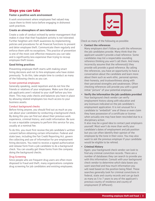# **Steps you can take**

#### **Foster a positive work environment**

A work environment where employees feel valued may cause them to think twice before engaging in dishonest work practices.

#### **Create an atmosphere of zero tolerance**

Create a code of conduct echoed by senior management that makes it clear that that fraudulent activity is not tolerated. Further heighten anti-theft awareness by implementing policies and procedures for all financial functions to prevent and deter employee theft. Communicate them regularly and enforce them with no exceptions. This practice of prevention is one of the most cost effective measures you can take and is significantly less expensive than trying to recoup employee theft losses.

## **Good hiring practices**

Preventing employee theft starts with making smart hiring decisions and not to hire employees who have stolen previously. To do this, take ample time to conduct as many of the following checks as you can.

#### Screen potential employees

Generally speaking, avoid nepotism and do not hire the friends or relatives of your employees. Make sure that your job applicants aren't related to your staff before you hire them. This may undo checks and balances you have in place by allowing related employees too much access to your business assets.

## Conduct background checks

Before hiring anyone, you should find out as much as you can about your candidate by conducting a background check. By doing this you can find out about their previous work experience, criminal history, and credit information. Be sure to use a reputable company to perform this service for you, usually at a nominal fee.

To do this, you must first receive the job candidate's written consent before obtaining certain information. Federal and state laws, including the Fair Credit Reporting Act, govern the collecting and use of information for pre-employment hiring decisions. You need to receive a signed authorization and release form from a job candidate to do a background check. You can usually get these forms from the company doing the background checks.

# Drug Screening

Since people who are frequent drug users are often more disposed to fraud and theft, many organizations complete drug screening for job candidates and existing employees.



Check as many of the following as possible:

### **• Contact the references**

Many employers don't follow up with the references the job candidates provide. Many think that the applicant wouldn't provide a bad reference. Some candidates may list a respectable-sounding reference thinking you won't call them. And many incorrectly assume that the reference(s) they provide will provide a good reference. By calling the references, you have an opportunity to have a conversation about the candidate and learn more about them such as work ethic, personal opinion, their honesty, and trustworthiness along with their perceived strengths and weaknesses. Often checking references will provide you with a good initial "picture" of your potential employee.

**• Verify the information the job candidate provided** Your background check vendor can verify employment history along with education and any licensure indicated on the job candidate's employment application. It is not unusual for a candidate to "embellish" one of these or even claim they have possession of a certificate or license when actually one may have been rescinded due to a disciplinary action.

It also may be a good idea to contact past employers yourself. Most won't do more than verify your candidate's dates of employment and job position but you can often identify their opinion of the employee by the tone in their voice. You may also want to ask the previous employer if your candidate would be eligible to be rehired.

#### **• Criminal History**

Again, your background check vendor can look to find any criminal conviction records. There are a number of databases they can search to provide you with this information. Consult with your background check vendor to determine which data bases you want searched and how much information you will need based on the position being filled. These searches generally look for criminal convictions in federal, state and county records and can go back as many as 5 to 7 years to any of the applicant's previous county of residence and county of employment (if different).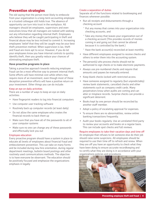# **Prevention strategies**

The old saying that the person most likely to embezzle from your organization is a long-term accounting employee or a trusted colleague still holds true. The absence of opportunity can turn into trust in the workplace. All managers should let employees, supervisors and even executives know that all managers are tasked with seeking out any information regarding internal theft. Employees who believe they will be caught participating in theft and financial abuse may be less inclined to commit it. Increasing employees' belief that they will be caught may be your best theft prevention method. When supervision is lax, theft and fraud are more apt to occur. However, if you do let your employees know you have internal controls to quickly identify theft, then you greatly reduce your chances of eliminating employee theft.

## **Have proactive programs in place**

Taking a proactive approach towards reducing employee fraud can be a most effective way to prevent internal theft. Some efforts will have minimal cost while others may require more of an investment, even though most of these deception prevention efforts will have a positive return on your investment. Other things you can do include:

#### Keep an eye on daily activities

There are a number of ways to keep an eye on daily activities:

- Have fingerprint readers to log into financial computers
- Use computer user tracking software
- Routinely back up computer records (at least daily)
- Do not allow the same employee who creates the financial records to back them up
- Make sure that you have all of the passwords to all of your computer systems
- Make sure no one can change any of these passwords and effectually lock you out

## Employee education

Every proactive program should have a system in place to educate all levels of employees about financial fraud and embezzlement prevention. This can take on many forms and be included during new hire orientation, during regular department meetings, bulletin board postings and other routinely used communications methods. The objective is to have everyone be observant. The education should be positively focused and emphasize the organizations emphasis in legally

#### Create a separation of duties

Separate all of the functions related to bookkeeping and finances whenever possible:

- Run all receipts and disbursements through a checking account
	- ° Put any money that comes into your organization into checking accounts, and
	- ° Take any money that leaves your organization out of a checking account (This provides records of monies coming in and going out that cannot be altered because it is controlled by the bank.)
	- ° Have the bank account(s) reconciled at least monthly
- Have different employees assigned to receive checks and others to enter them into the accounting system.
- The person(s) who process checks should not be authorized to sign checks or to make electronic payments.
- Always use pre-numbered checks and require that amounts and payees be manually entered.
- Keep blank checks locked with restricted access.
- Have someone assigned to regularly (but unpredictably) review bank statements, cancelled checks and other statements such as company credit cards. Many perpetrators know when audits are coming and can alter or misplace records. Surprise checks can provide a significant deterrent.
- Books kept by one person should be reconciled by another staff member.
- Adopt a policy of escalating approval for expenses.
- To ensure there are no abnormalities, review online banking transactions frequently.
- Audit your books regularly. Use an unrelated third party to review your accounts and books on a regular basis. This can include spot checks and full reviews.

#### Require employees to take their vacation days and time off

An employee that refuses to let someone else do their job should raise some suspicions. All employees should be required to use their time off to refresh and renew. When they are off you have an opportunity to check what they have been doing to ensure accurate recordkeeping and to certify what they are doing is in accordance with your organizations policies and procedures.